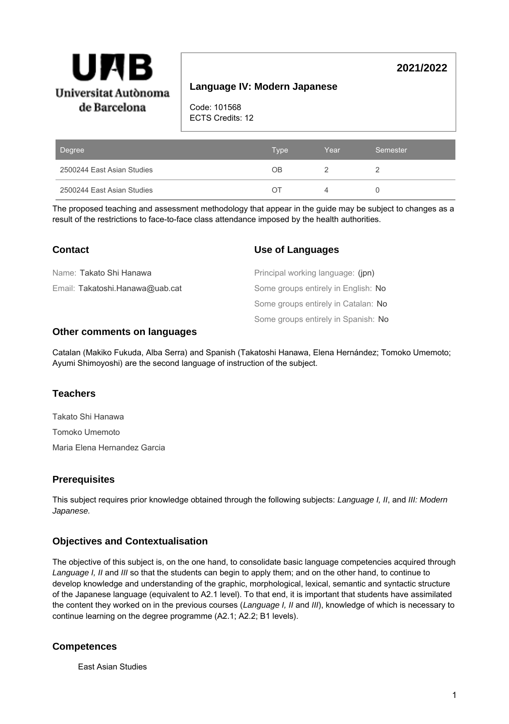

# **Language IV: Modern Japanese**

**2021/2022**

Code: 101568 ECTS Credits: 12

| Degree                     | <b>Type</b> | Year | Semester |
|----------------------------|-------------|------|----------|
| 2500244 East Asian Studies | OΒ          |      |          |
| 2500244 East Asian Studies | () I        |      |          |

The proposed teaching and assessment methodology that appear in the guide may be subject to changes as a result of the restrictions to face-to-face class attendance imposed by the health authorities.

| <b>Contact</b>                  | Use of Languages                    |
|---------------------------------|-------------------------------------|
| Name: Takato Shi Hanawa         | Principal working language: (jpn)   |
| Email: Takatoshi.Hanawa@uab.cat | Some groups entirely in English: No |
|                                 | Some groups entirely in Catalan: No |
|                                 | Some groups entirely in Spanish: No |

### **Other comments on languages**

Catalan (Makiko Fukuda, Alba Serra) and Spanish (Takatoshi Hanawa, Elena Hernández; Tomoko Umemoto; Ayumi Shimoyoshi) are the second language of instruction of the subject.

## **Teachers**

Takato Shi Hanawa Tomoko Umemoto

Maria Elena Hernandez Garcia

## **Prerequisites**

This subject requires prior knowledge obtained through the following subjects: Language I, II, and III: Modern Japanese.

## **Objectives and Contextualisation**

The objective of this subject is, on the one hand, to consolidate basic language competencies acquired through Language I, II and III so that the students can begin to apply them; and on the other hand, to continue to develop knowledge and understanding of the graphic, morphological, lexical, semantic and syntactic structure of the Japanese language (equivalent to A2.1 level). To that end, it is important that students have assimilated the content they worked on in the previous courses (Language I, II and III), knowledge of which is necessary to continue learning on the degree programme (A2.1; A2.2; B1 levels).

# **Competences**

East Asian Studies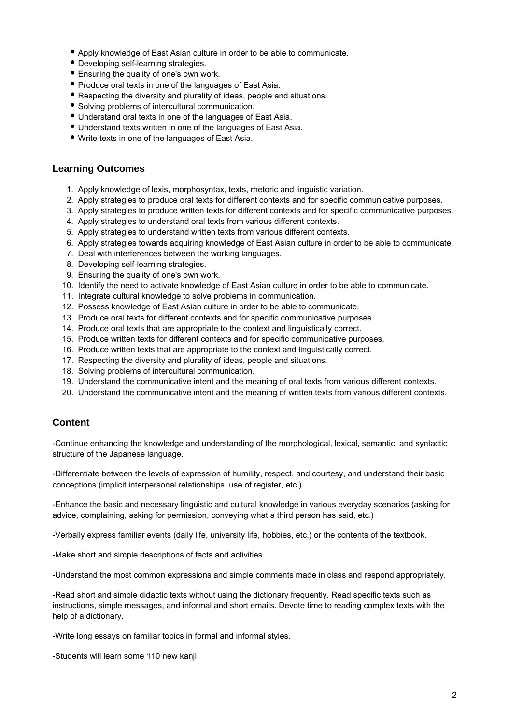- Apply knowledge of East Asian culture in order to be able to communicate.
- Developing self-learning strategies.
- Ensuring the quality of one's own work.
- Produce oral texts in one of the languages of East Asia.
- Respecting the diversity and plurality of ideas, people and situations.
- Solving problems of intercultural communication.
- Understand oral texts in one of the languages of East Asia.
- Understand texts written in one of the languages of East Asia.
- Write texts in one of the languages of East Asia.

## **Learning Outcomes**

- 1. Apply knowledge of lexis, morphosyntax, texts, rhetoric and linguistic variation.
- 2. Apply strategies to produce oral texts for different contexts and for specific communicative purposes.
- 3. Apply strategies to produce written texts for different contexts and for specific communicative purposes.
- 4. Apply strategies to understand oral texts from various different contexts.
- 5. Apply strategies to understand written texts from various different contexts.
- 6. Apply strategies towards acquiring knowledge of East Asian culture in order to be able to communicate.
- 7. Deal with interferences between the working languages.
- 8. Developing self-learning strategies.
- 9. Ensuring the quality of one's own work.
- 10. Identify the need to activate knowledge of East Asian culture in order to be able to communicate.
- 11. Integrate cultural knowledge to solve problems in communication.
- 12. Possess knowledge of East Asian culture in order to be able to communicate.
- 13. Produce oral texts for different contexts and for specific communicative purposes.
- 14. Produce oral texts that are appropriate to the context and linguistically correct.
- 15. Produce written texts for different contexts and for specific communicative purposes.
- 16. Produce written texts that are appropriate to the context and linguistically correct.
- 17. Respecting the diversity and plurality of ideas, people and situations.
- 18. Solving problems of intercultural communication.
- 19. Understand the communicative intent and the meaning of oral texts from various different contexts.
- 20. Understand the communicative intent and the meaning of written texts from various different contexts.

## **Content**

-Continue enhancing the knowledge and understanding of the morphological, lexical, semantic, and syntactic structure of the Japanese language.

-Differentiate between the levels of expression of humility, respect, and courtesy, and understand their basic conceptions (implicit interpersonal relationships, use of register, etc.).

-Enhance the basic and necessary linguistic and cultural knowledge in various everyday scenarios (asking for advice, complaining, asking for permission, conveying what a third person has said, etc.)

-Verbally express familiar events (daily life, university life, hobbies, etc.) or the contents of the textbook.

-Make short and simple descriptions of facts and activities.

-Understand the most common expressions and simple comments made in class and respond appropriately.

-Read short and simple didactic texts without using the dictionary frequently. Read specific texts such as instructions, simple messages, and informal and short emails. Devote time to reading complex texts with the help of a dictionary.

-Write long essays on familiar topics in formal and informal styles.

-Students will learn some 110 new kanji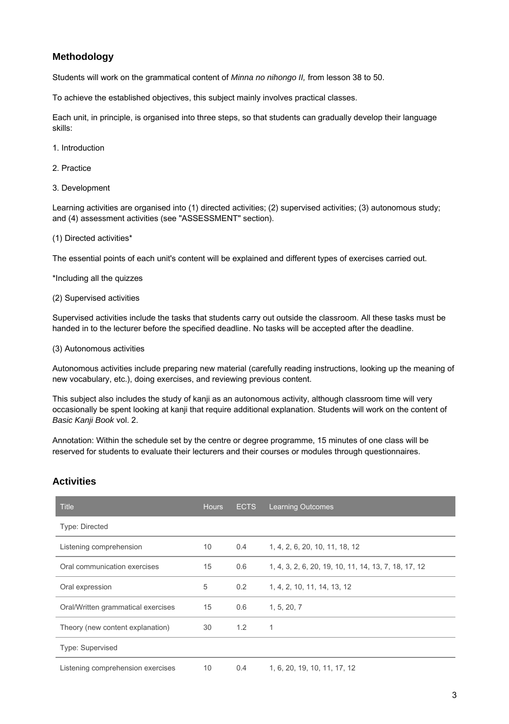# **Methodology**

Students will work on the grammatical content of Minna no nihongo II, from lesson 38 to 50.

To achieve the established objectives, this subject mainly involves practical classes.

Each unit, in principle, is organised into three steps, so that students can gradually develop their language skills:

- 1. Introduction
- 2. Practice
- 3. Development

Learning activities are organised into (1) directed activities; (2) supervised activities; (3) autonomous study; and (4) assessment activities (see "ASSESSMENT" section).

(1) Directed activities\*

The essential points of each unit's content will be explained and different types of exercises carried out.

\*Including all the quizzes

(2) Supervised activities

Supervised activities include the tasks that students carry out outside the classroom. All these tasks must be handed in to the lecturer before the specified deadline. No tasks will be accepted after the deadline.

#### (3) Autonomous activities

Autonomous activities include preparing new material (carefully reading instructions, looking up the meaning of new vocabulary, etc.), doing exercises, and reviewing previous content.

This subject also includes the study of kanji as an autonomous activity, although classroom time will very occasionally be spent looking at kanji that require additional explanation. Students will work on the content of Basic Kanji Book vol. 2.

Annotation: Within the schedule set by the centre or degree programme, 15 minutes of one class will be reserved for students to evaluate their lecturers and their courses or modules through questionnaires.

## **Activities**

| <b>Title</b>                       | <b>Hours</b> | <b>ECTS</b>   | <b>Learning Outcomes</b>                             |
|------------------------------------|--------------|---------------|------------------------------------------------------|
| Type: Directed                     |              |               |                                                      |
| Listening comprehension            | 10           | $0.4^{\circ}$ | 1, 4, 2, 6, 20, 10, 11, 18, 12                       |
| Oral communication exercises       | 15           | 0.6           | 1, 4, 3, 2, 6, 20, 19, 10, 11, 14, 13, 7, 18, 17, 12 |
| Oral expression                    | 5            | 0.2           | 1, 4, 2, 10, 11, 14, 13, 12                          |
| Oral/Written grammatical exercises | 15           | 0.6           | 1, 5, 20, 7                                          |
| Theory (new content explanation)   | 30           | 1.2           | $\mathbf{1}$                                         |
| Type: Supervised                   |              |               |                                                      |
| Listening comprehension exercises  | 10           | 0.4           | 1, 6, 20, 19, 10, 11, 17, 12                         |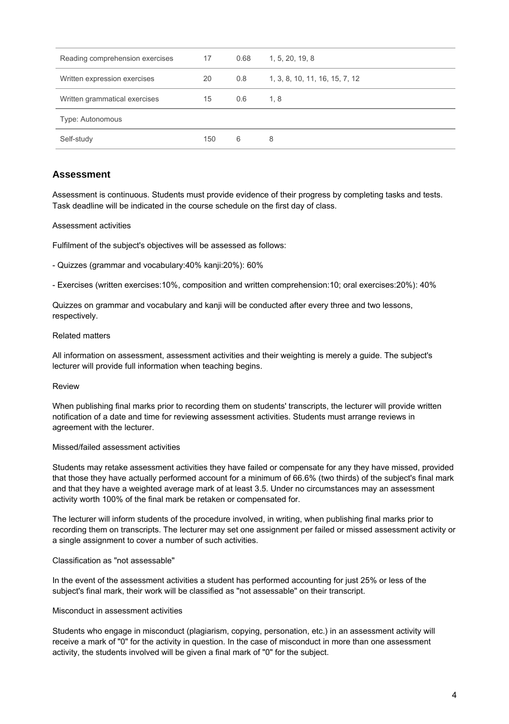| Reading comprehension exercises | 17  | 0.68 | 1, 5, 20, 19, 8                |
|---------------------------------|-----|------|--------------------------------|
| Written expression exercises    | 20  | 0.8  | 1, 3, 8, 10, 11, 16, 15, 7, 12 |
| Written grammatical exercises   | 15  | 0.6  | 1, 8                           |
| Type: Autonomous                |     |      |                                |
| Self-study                      | 150 | 6    | 8                              |

## **Assessment**

Assessment is continuous. Students must provide evidence of their progress by completing tasks and tests. Task deadline will be indicated in the course schedule on the first day of class.

#### Assessment activities

Fulfilment of the subject's objectives will be assessed as follows:

- Quizzes (grammar and vocabulary:40% kanji:20%): 60%

- Exercises (written exercises:10%, composition and written comprehension:10; oral exercises:20%): 40%

Quizzes on grammar and vocabulary and kanji will be conducted after every three and two lessons, respectively.

#### Related matters

All information on assessment, assessment activities and their weighting is merely a guide. The subject's lecturer will provide full information when teaching begins.

#### Review

When publishing final marks prior to recording them on students' transcripts, the lecturer will provide written notification of a date and time for reviewing assessment activities. Students must arrange reviews in agreement with the lecturer.

#### Missed/failed assessment activities

Students may retake assessment activities they have failed or compensate for any they have missed, provided that those they have actually performed account for a minimum of 66.6% (two thirds) of the subject's final mark and that they have a weighted average mark of at least 3.5. Under no circumstances may an assessment activity worth 100% of the final mark be retaken or compensated for.

The lecturer will inform students of the procedure involved, in writing, when publishing final marks prior to recording them on transcripts. The lecturer may set one assignment per failed or missed assessment activity or a single assignment to cover a number of such activities.

#### Classification as "not assessable"

In the event of the assessment activities a student has performed accounting for just 25% or less of the subject's final mark, their work will be classified as "not assessable" on their transcript.

#### Misconduct in assessment activities

Students who engage in misconduct (plagiarism, copying, personation, etc.) in an assessment activity will receive a mark of "0" for the activity in question. In the case of misconduct in more than one assessment activity, the students involved will be given a final mark of "0" for the subject.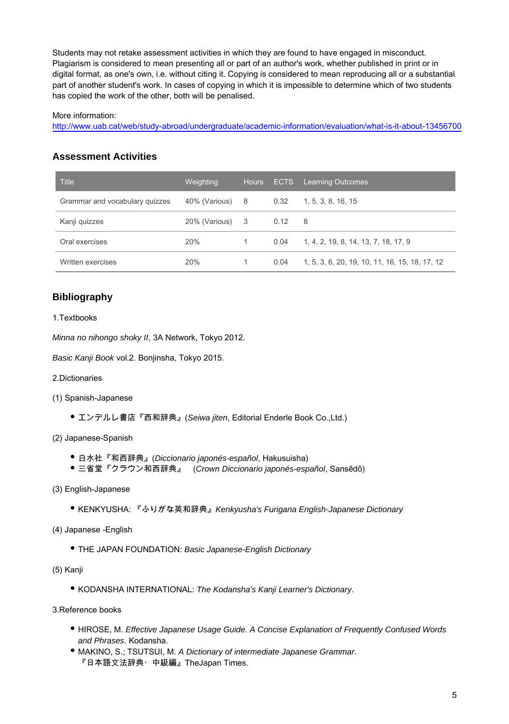Students may not retake assessment activities in which they are found to have engaged in misconduct. Plagiarism is considered to mean presenting all or part of an author's work, whether published in print or in digital format, as one's own, i.e. without citing it. Copying is considered to mean reproducing all or a substantial part of another student's work. In cases of copying in which it is impossible to determine which of two students has copied the work of the other, both will be penalised.

#### More information:

http://www.uab.cat/web/study-abroad/undergraduate/academic-information/evaluation/what-is-it-about-13456700

## **Assessment Activities**

| Title                          | Weighting       | <b>Hours</b> | <b>ECTS</b> | <b>Learning Outcomes</b>                       |
|--------------------------------|-----------------|--------------|-------------|------------------------------------------------|
| Grammar and vocabulary quizzes | 40% (Various) 8 |              | 0.32        | 1, 5, 3, 8, 16, 15                             |
| Kanji guizzes                  | 20% (Various)   | - 3          | 0.12        | - 8                                            |
| Oral exercises                 | 20%             | 1            | 0.04        | 1, 4, 2, 19, 8, 14, 13, 7, 18, 17, 9           |
| Written exercises              | 20%             |              | 0.04        | 1, 5, 3, 6, 20, 19, 10, 11, 16, 15, 18, 17, 12 |

# **Bibliography**

#### 1.Textbooks

Minna no nihongo shoky II, 3A Network, Tokyo 2012.

Basic Kanji Book vol.2. Bonjinsha, Tokyo 2015.

- 2.Dictionaries
- (1) Spanish-Japanese
	- エンデルレ書店『西和辞典』(Seiwa jiten, Editorial Enderle Book Co.,Ltd.)
- (2) Japanese-Spanish
	- 白水社『和西辞典』(Diccionario japonés-español, Hakusuisha)
	- 三省堂『クラウン和西辞典』 (Crown Diccionario japonés-español, Sansêdô)
- (3) English-Japanese
	- KENKYUSHA: 『ふりがな英和辞典』*Kenkyusha's Furigana English-Japanese Dictionary*
- (4) Japanese -English
	- THE JAPAN FOUNDATION: Basic Japanese-English Dictionary
- (5) Kanji
	- KODANSHA INTERNATIONAL: The Kodansha's Kanji Learner's Dictionary.

3.Reference books

- HIROSE, M. Effective Japanese Usage Guide. A Concise Explanation of Frequently Confused Words and Phrases. Kodansha.
- MAKINO, S.; TSUTSUI, M. A Dictionary of intermediate Japanese Grammar. 『日本語文法辞典・中級編』TheJapan Times.